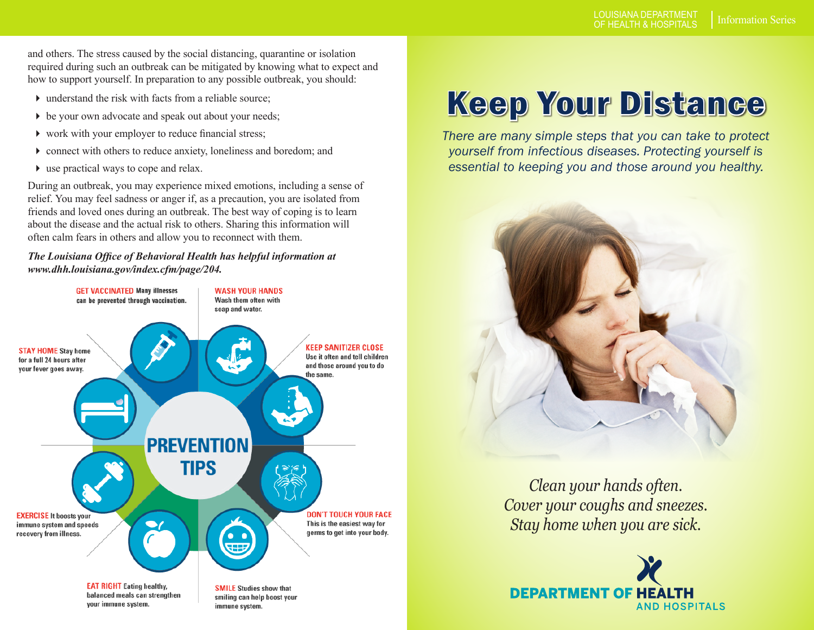and others. The stress caused by the social distancing, quarantine or isolation required during such an outbreak can be mitigated by knowing what to expect and how to support yourself. In preparation to any possible outbreak, you should:

- $\blacktriangleright$  understand the risk with facts from a reliable source:
- be your own advocate and speak out about your needs;
- work with your employer to reduce financial stress;
- connect with others to reduce anxiety, loneliness and boredom; and
- use practical ways to cope and relax.

During an outbreak, you may experience mixed emotions, including a sense of relief. You may feel sadness or anger if, as a precaution, you are isolated from friends and loved ones during an outbreak. The best way of coping is to learn about the disease and the actual risk to others. Sharing this information will often calm fears in others and allow you to reconnect with them.

#### *The Louisiana Office of Behavioral Health has helpful information at www.dhh.louisiana.gov/index.cfm/page/204.*



# Keep Your Distance

*There are many simple steps that you can take to protect yourself from infectious diseases. Protecting yourself is essential to keeping you and those around you healthy.*



*Clean your hands often. Cover your coughs and sneezes. Stay home when you are sick.*